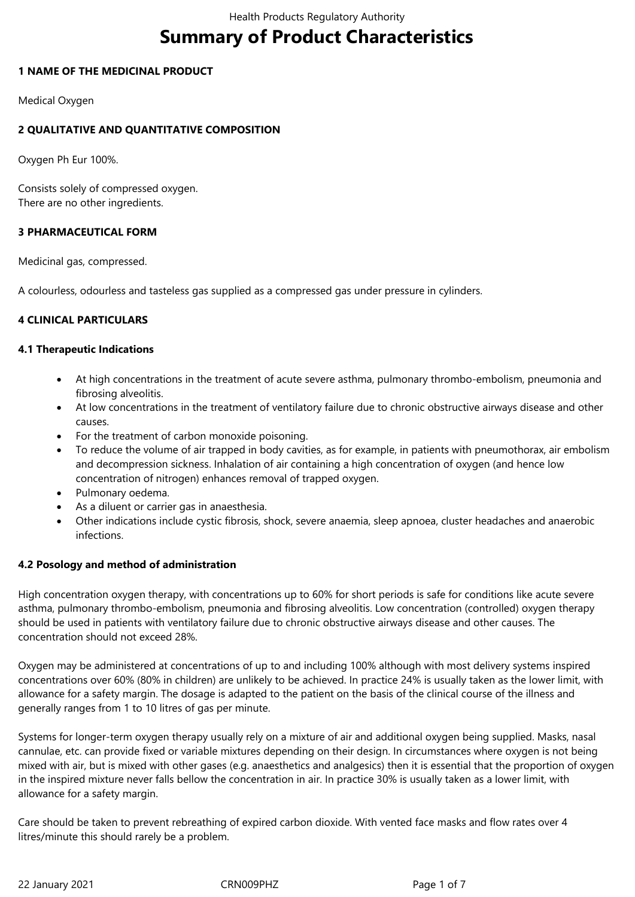# **Summary of Product Characteristics**

### **1 NAME OF THE MEDICINAL PRODUCT**

Medical Oxygen

### **2 QUALITATIVE AND QUANTITATIVE COMPOSITION**

Oxygen Ph Eur 100%.

Consists solely of compressed oxygen. There are no other ingredients.

# **3 PHARMACEUTICAL FORM**

Medicinal gas, compressed.

A colourless, odourless and tasteless gas supplied as a compressed gas under pressure in cylinders.

### **4 CLINICAL PARTICULARS**

#### **4.1 Therapeutic Indications**

- At high concentrations in the treatment of acute severe asthma, pulmonary thrombo-embolism, pneumonia and fibrosing alveolitis.
- At low concentrations in the treatment of ventilatory failure due to chronic obstructive airways disease and other causes.
- For the treatment of carbon monoxide poisoning.
- To reduce the volume of air trapped in body cavities, as for example, in patients with pneumothorax, air embolism and decompression sickness. Inhalation of air containing a high concentration of oxygen (and hence low concentration of nitrogen) enhances removal of trapped oxygen.
- Pulmonary oedema.
- As a diluent or carrier gas in anaesthesia.
- Other indications include cystic fibrosis, shock, severe anaemia, sleep apnoea, cluster headaches and anaerobic infections.

#### **4.2 Posology and method of administration**

High concentration oxygen therapy, with concentrations up to 60% for short periods is safe for conditions like acute severe asthma, pulmonary thrombo-embolism, pneumonia and fibrosing alveolitis. Low concentration (controlled) oxygen therapy should be used in patients with ventilatory failure due to chronic obstructive airways disease and other causes. The concentration should not exceed 28%.

Oxygen may be administered at concentrations of up to and including 100% although with most delivery systems inspired concentrations over 60% (80% in children) are unlikely to be achieved. In practice 24% is usually taken as the lower limit, with allowance for a safety margin. The dosage is adapted to the patient on the basis of the clinical course of the illness and generally ranges from 1 to 10 litres of gas per minute.

Systems for longer-term oxygen therapy usually rely on a mixture of air and additional oxygen being supplied. Masks, nasal cannulae, etc. can provide fixed or variable mixtures depending on their design. In circumstances where oxygen is not being mixed with air, but is mixed with other gases (e.g. anaesthetics and analgesics) then it is essential that the proportion of oxygen in the inspired mixture never falls bellow the concentration in air. In practice 30% is usually taken as a lower limit, with allowance for a safety margin.

Care should be taken to prevent rebreathing of expired carbon dioxide. With vented face masks and flow rates over 4 litres/minute this should rarely be a problem.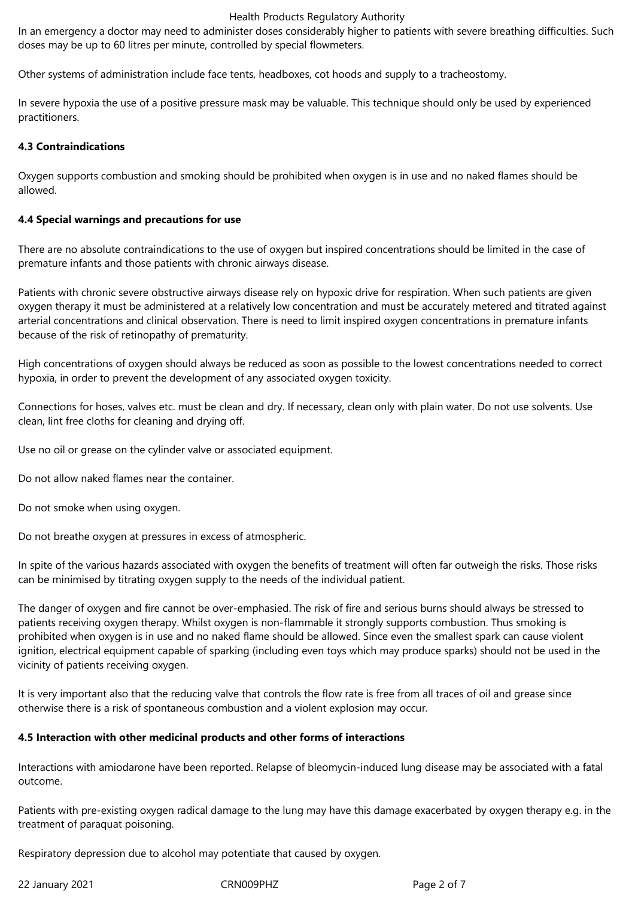#### Health Products Regulatory Authority

In an emergency a doctor may need to administer doses considerably higher to patients with severe breathing difficulties. Such doses may be up to 60 litres per minute, controlled by special flowmeters.

Other systems of administration include face tents, headboxes, cot hoods and supply to a tracheostomy.

In severe hypoxia the use of a positive pressure mask may be valuable. This technique should only be used by experienced practitioners.

#### **4.3 Contraindications**

Oxygen supports combustion and smoking should be prohibited when oxygen is in use and no naked flames should be allowed.

### **4.4 Special warnings and precautions for use**

There are no absolute contraindications to the use of oxygen but inspired concentrations should be limited in the case of premature infants and those patients with chronic airways disease.

Patients with chronic severe obstructive airways disease rely on hypoxic drive for respiration. When such patients are given oxygen therapy it must be administered at a relatively low concentration and must be accurately metered and titrated against arterial concentrations and clinical observation. There is need to limit inspired oxygen concentrations in premature infants because of the risk of retinopathy of prematurity.

High concentrations of oxygen should always be reduced as soon as possible to the lowest concentrations needed to correct hypoxia, in order to prevent the development of any associated oxygen toxicity.

Connections for hoses, valves etc. must be clean and dry. If necessary, clean only with plain water. Do not use solvents. Use clean, lint free cloths for cleaning and drying off.

Use no oil or grease on the cylinder valve or associated equipment.

Do not allow naked flames near the container.

Do not smoke when using oxygen.

Do not breathe oxygen at pressures in excess of atmospheric.

In spite of the various hazards associated with oxygen the benefits of treatment will often far outweigh the risks. Those risks can be minimised by titrating oxygen supply to the needs of the individual patient.

The danger of oxygen and fire cannot be over-emphasied. The risk of fire and serious burns should always be stressed to patients receiving oxygen therapy. Whilst oxygen is non-flammable it strongly supports combustion. Thus smoking is prohibited when oxygen is in use and no naked flame should be allowed. Since even the smallest spark can cause violent ignition, electrical equipment capable of sparking (including even toys which may produce sparks) should not be used in the vicinity of patients receiving oxygen.

It is very important also that the reducing valve that controls the flow rate is free from all traces of oil and grease since otherwise there is a risk of spontaneous combustion and a violent explosion may occur.

## **4.5 Interaction with other medicinal products and other forms of interactions**

Interactions with amiodarone have been reported. Relapse of bleomycin-induced lung disease may be associated with a fatal outcome.

Patients with pre-existing oxygen radical damage to the lung may have this damage exacerbated by oxygen therapy e.g. in the treatment of paraquat poisoning.

Respiratory depression due to alcohol may potentiate that caused by oxygen.

22 January 2021 CRN009PHZ Page 2 of 7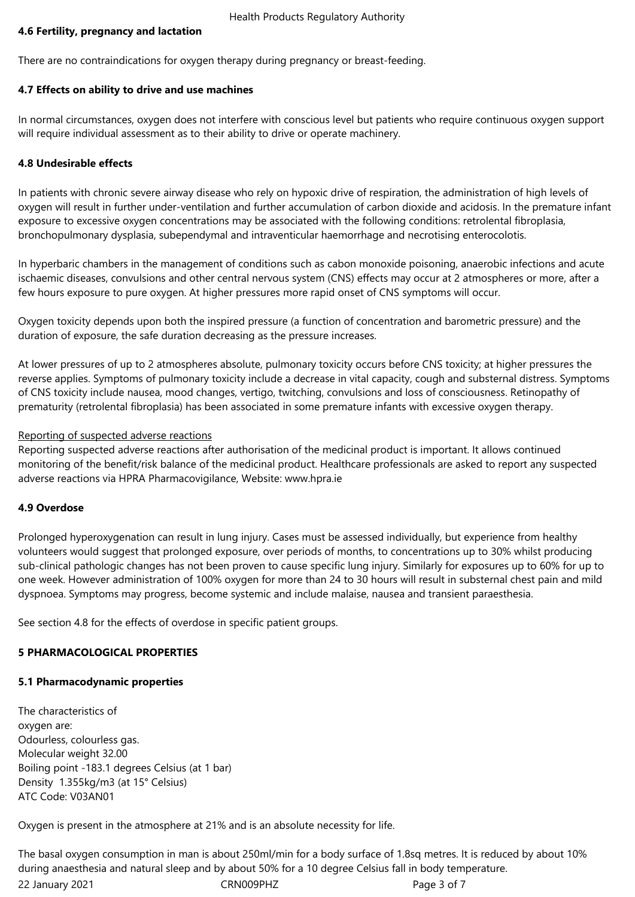## **4.6 Fertility, pregnancy and lactation**

There are no contraindications for oxygen therapy during pregnancy or breast-feeding.

### **4.7 Effects on ability to drive and use machines**

In normal circumstances, oxygen does not interfere with conscious level but patients who require continuous oxygen support will require individual assessment as to their ability to drive or operate machinery.

### **4.8 Undesirable effects**

In patients with chronic severe airway disease who rely on hypoxic drive of respiration, the administration of high levels of oxygen will result in further under-ventilation and further accumulation of carbon dioxide and acidosis. In the premature infant exposure to excessive oxygen concentrations may be associated with the following conditions: retrolental fibroplasia, bronchopulmonary dysplasia, subependymal and intraventicular haemorrhage and necrotising enterocolotis.

In hyperbaric chambers in the management of conditions such as cabon monoxide poisoning, anaerobic infections and acute ischaemic diseases, convulsions and other central nervous system (CNS) effects may occur at 2 atmospheres or more, after a few hours exposure to pure oxygen. At higher pressures more rapid onset of CNS symptoms will occur.

Oxygen toxicity depends upon both the inspired pressure (a function of concentration and barometric pressure) and the duration of exposure, the safe duration decreasing as the pressure increases.

At lower pressures of up to 2 atmospheres absolute, pulmonary toxicity occurs before CNS toxicity; at higher pressures the reverse applies. Symptoms of pulmonary toxicity include a decrease in vital capacity, cough and substernal distress. Symptoms of CNS toxicity include nausea, mood changes, vertigo, twitching, convulsions and loss of consciousness. Retinopathy of prematurity (retrolental fibroplasia) has been associated in some premature infants with excessive oxygen therapy.

### Reporting of suspected adverse reactions

Reporting suspected adverse reactions after authorisation of the medicinal product is important. It allows continued monitoring of the benefit/risk balance of the medicinal product. Healthcare professionals are asked to report any suspected adverse reactions via HPRA Pharmacovigilance, Website: www.hpra.ie

#### **4.9 Overdose**

Prolonged hyperoxygenation can result in lung injury. Cases must be assessed individually, but experience from healthy volunteers would suggest that prolonged exposure, over periods of months, to concentrations up to 30% whilst producing sub-clinical pathologic changes has not been proven to cause specific lung injury. Similarly for exposures up to 60% for up to one week. However administration of 100% oxygen for more than 24 to 30 hours will result in substernal chest pain and mild dyspnoea. Symptoms may progress, become systemic and include malaise, nausea and transient paraesthesia.

See section 4.8 for the effects of overdose in specific patient groups.

## **5 PHARMACOLOGICAL PROPERTIES**

#### **5.1 Pharmacodynamic properties**

The characteristics of oxygen are: Odourless, colourless gas. Molecular weight 32.00 Boiling point -183.1 degrees Celsius (at 1 bar) Density 1.355kg/m3 (at 15° Celsius) ATC Code: V03AN01

Oxygen is present in the atmosphere at 21% and is an absolute necessity for life.

22 January 2021 CRN009PHZ Page 3 of 7 The basal oxygen consumption in man is about 250ml/min for a body surface of 1.8sq metres. It is reduced by about 10% during anaesthesia and natural sleep and by about 50% for a 10 degree Celsius fall in body temperature.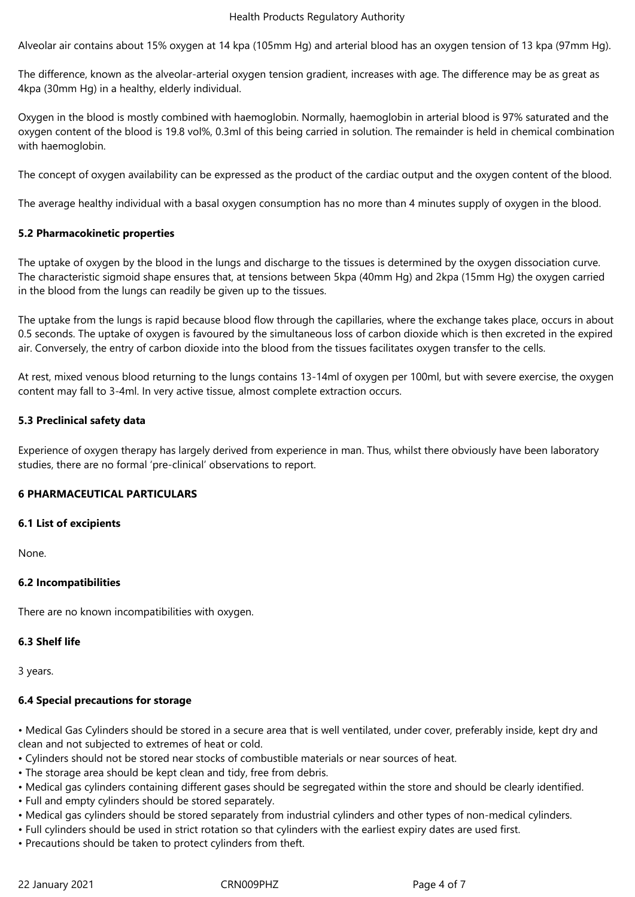#### Health Products Regulatory Authority

Alveolar air contains about 15% oxygen at 14 kpa (105mm Hg) and arterial blood has an oxygen tension of 13 kpa (97mm Hg).

The difference, known as the alveolar-arterial oxygen tension gradient, increases with age. The difference may be as great as 4kpa (30mm Hg) in a healthy, elderly individual.

Oxygen in the blood is mostly combined with haemoglobin. Normally, haemoglobin in arterial blood is 97% saturated and the oxygen content of the blood is 19.8 vol%, 0.3ml of this being carried in solution. The remainder is held in chemical combination with haemoglobin.

The concept of oxygen availability can be expressed as the product of the cardiac output and the oxygen content of the blood.

The average healthy individual with a basal oxygen consumption has no more than 4 minutes supply of oxygen in the blood.

#### **5.2 Pharmacokinetic properties**

The uptake of oxygen by the blood in the lungs and discharge to the tissues is determined by the oxygen dissociation curve. The characteristic sigmoid shape ensures that, at tensions between 5kpa (40mm Hg) and 2kpa (15mm Hg) the oxygen carried in the blood from the lungs can readily be given up to the tissues.

The uptake from the lungs is rapid because blood flow through the capillaries, where the exchange takes place, occurs in about 0.5 seconds. The uptake of oxygen is favoured by the simultaneous loss of carbon dioxide which is then excreted in the expired air. Conversely, the entry of carbon dioxide into the blood from the tissues facilitates oxygen transfer to the cells.

At rest, mixed venous blood returning to the lungs contains 13-14ml of oxygen per 100ml, but with severe exercise, the oxygen content may fall to 3-4ml. In very active tissue, almost complete extraction occurs.

#### **5.3 Preclinical safety data**

Experience of oxygen therapy has largely derived from experience in man. Thus, whilst there obviously have been laboratory studies, there are no formal 'pre-clinical' observations to report.

#### **6 PHARMACEUTICAL PARTICULARS**

#### **6.1 List of excipients**

None.

#### **6.2 Incompatibilities**

There are no known incompatibilities with oxygen.

#### **6.3 Shelf life**

3 years.

#### **6.4 Special precautions for storage**

• Medical Gas Cylinders should be stored in a secure area that is well ventilated, under cover, preferably inside, kept dry and clean and not subjected to extremes of heat or cold.

• Cylinders should not be stored near stocks of combustible materials or near sources of heat.

- The storage area should be kept clean and tidy, free from debris.
- Medical gas cylinders containing different gases should be segregated within the store and should be clearly identified.
- Full and empty cylinders should be stored separately.
- Medical gas cylinders should be stored separately from industrial cylinders and other types of non-medical cylinders.
- Full cylinders should be used in strict rotation so that cylinders with the earliest expiry dates are used first.
- Precautions should be taken to protect cylinders from theft.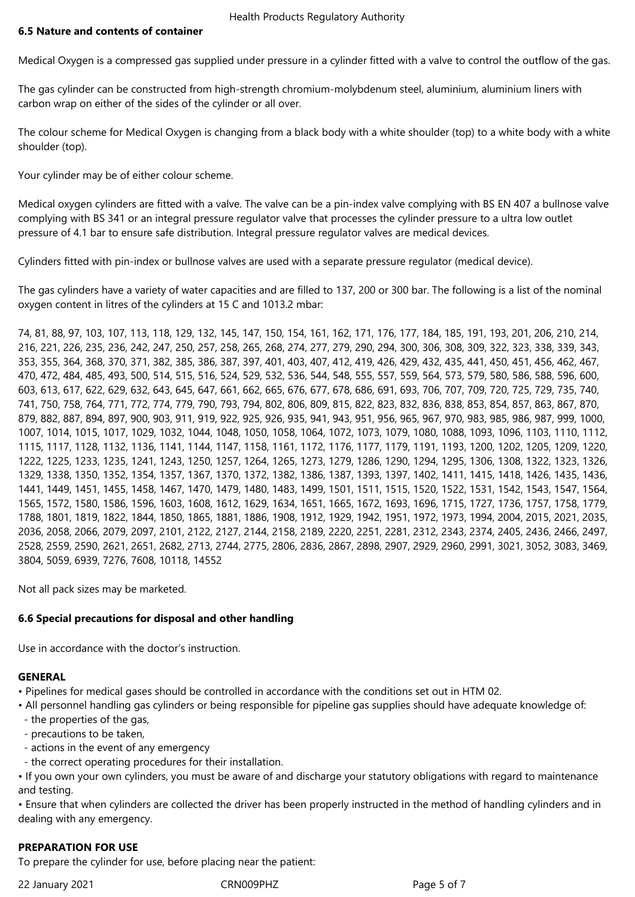Medical Oxygen is a compressed gas supplied under pressure in a cylinder fitted with a valve to control the outflow of the gas.

The gas cylinder can be constructed from high-strength chromium-molybdenum steel, aluminium, aluminium liners with carbon wrap on either of the sides of the cylinder or all over.

The colour scheme for Medical Oxygen is changing from a black body with a white shoulder (top) to a white body with a white shoulder (top).

Your cylinder may be of either colour scheme.

Medical oxygen cylinders are fitted with a valve. The valve can be a pin-index valve complying with BS EN 407 a bullnose valve complying with BS 341 or an integral pressure regulator valve that processes the cylinder pressure to a ultra low outlet pressure of 4.1 bar to ensure safe distribution. Integral pressure regulator valves are medical devices.

Cylinders fitted with pin-index or bullnose valves are used with a separate pressure regulator (medical device).

The gas cylinders have a variety of water capacities and are filled to 137, 200 or 300 bar. The following is a list of the nominal oxygen content in litres of the cylinders at 15 C and 1013.2 mbar:

74, 81, 88, 97, 103, 107, 113, 118, 129, 132, 145, 147, 150, 154, 161, 162, 171, 176, 177, 184, 185, 191, 193, 201, 206, 210, 214, 216, 221, 226, 235, 236, 242, 247, 250, 257, 258, 265, 268, 274, 277, 279, 290, 294, 300, 306, 308, 309, 322, 323, 338, 339, 343, 353, 355, 364, 368, 370, 371, 382, 385, 386, 387, 397, 401, 403, 407, 412, 419, 426, 429, 432, 435, 441, 450, 451, 456, 462, 467, 470, 472, 484, 485, 493, 500, 514, 515, 516, 524, 529, 532, 536, 544, 548, 555, 557, 559, 564, 573, 579, 580, 586, 588, 596, 600, 603, 613, 617, 622, 629, 632, 643, 645, 647, 661, 662, 665, 676, 677, 678, 686, 691, 693, 706, 707, 709, 720, 725, 729, 735, 740, 741, 750, 758, 764, 771, 772, 774, 779, 790, 793, 794, 802, 806, 809, 815, 822, 823, 832, 836, 838, 853, 854, 857, 863, 867, 870, 879, 882, 887, 894, 897, 900, 903, 911, 919, 922, 925, 926, 935, 941, 943, 951, 956, 965, 967, 970, 983, 985, 986, 987, 999, 1000, 1007, 1014, 1015, 1017, 1029, 1032, 1044, 1048, 1050, 1058, 1064, 1072, 1073, 1079, 1080, 1088, 1093, 1096, 1103, 1110, 1112, 1115, 1117, 1128, 1132, 1136, 1141, 1144, 1147, 1158, 1161, 1172, 1176, 1177, 1179, 1191, 1193, 1200, 1202, 1205, 1209, 1220, 1222, 1225, 1233, 1235, 1241, 1243, 1250, 1257, 1264, 1265, 1273, 1279, 1286, 1290, 1294, 1295, 1306, 1308, 1322, 1323, 1326, 1329, 1338, 1350, 1352, 1354, 1357, 1367, 1370, 1372, 1382, 1386, 1387, 1393, 1397, 1402, 1411, 1415, 1418, 1426, 1435, 1436, 1441, 1449, 1451, 1455, 1458, 1467, 1470, 1479, 1480, 1483, 1499, 1501, 1511, 1515, 1520, 1522, 1531, 1542, 1543, 1547, 1564, 1565, 1572, 1580, 1586, 1596, 1603, 1608, 1612, 1629, 1634, 1651, 1665, 1672, 1693, 1696, 1715, 1727, 1736, 1757, 1758, 1779, 1788, 1801, 1819, 1822, 1844, 1850, 1865, 1881, 1886, 1908, 1912, 1929, 1942, 1951, 1972, 1973, 1994, 2004, 2015, 2021, 2035, 2036, 2058, 2066, 2079, 2097, 2101, 2122, 2127, 2144, 2158, 2189, 2220, 2251, 2281, 2312, 2343, 2374, 2405, 2436, 2466, 2497, 2528, 2559, 2590, 2621, 2651, 2682, 2713, 2744, 2775, 2806, 2836, 2867, 2898, 2907, 2929, 2960, 2991, 3021, 3052, 3083, 3469, 3804, 5059, 6939, 7276, 7608, 10118, 14552

Not all pack sizes may be marketed.

# **6.6 Special precautions for disposal and other handling**

Use in accordance with the doctor's instruction.

# **GENERAL**

- Pipelines for medical gases should be controlled in accordance with the conditions set out in HTM 02.
- All personnel handling gas cylinders or being responsible for pipeline gas supplies should have adequate knowledge of:
- the properties of the gas,
- precautions to be taken,
- actions in the event of any emergency
- the correct operating procedures for their installation.

• If you own your own cylinders, you must be aware of and discharge your statutory obligations with regard to maintenance and testing.

• Ensure that when cylinders are collected the driver has been properly instructed in the method of handling cylinders and in dealing with any emergency.

# **PREPARATION FOR USE**

To prepare the cylinder for use, before placing near the patient:

22 January 2021 CRN009PHZ Page 5 of 7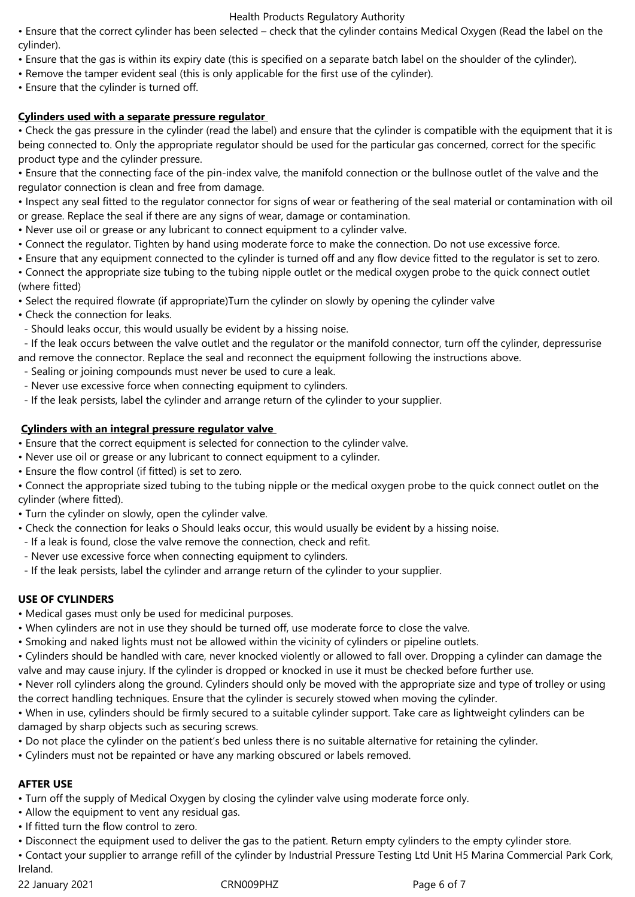#### Health Products Regulatory Authority

• Ensure that the correct cylinder has been selected – check that the cylinder contains Medical Oxygen (Read the label on the cylinder).

- Ensure that the gas is within its expiry date (this is specified on a separate batch label on the shoulder of the cylinder).
- Remove the tamper evident seal (this is only applicable for the first use of the cylinder).
- Ensure that the cylinder is turned off.

# **Cylinders used with a separate pressure regulator**

• Check the gas pressure in the cylinder (read the label) and ensure that the cylinder is compatible with the equipment that it is being connected to. Only the appropriate regulator should be used for the particular gas concerned, correct for the specific product type and the cylinder pressure.

• Ensure that the connecting face of the pin-index valve, the manifold connection or the bullnose outlet of the valve and the regulator connection is clean and free from damage.

• Inspect any seal fitted to the regulator connector for signs of wear or feathering of the seal material or contamination with oil or grease. Replace the seal if there are any signs of wear, damage or contamination.

- Never use oil or grease or any lubricant to connect equipment to a cylinder valve.
- Connect the regulator. Tighten by hand using moderate force to make the connection. Do not use excessive force.
- Ensure that any equipment connected to the cylinder is turned off and any flow device fitted to the regulator is set to zero.

• Connect the appropriate size tubing to the tubing nipple outlet or the medical oxygen probe to the quick connect outlet (where fitted)

- Select the required flowrate (if appropriate)Turn the cylinder on slowly by opening the cylinder valve
- Check the connection for leaks.
- Should leaks occur, this would usually be evident by a hissing noise.

 - If the leak occurs between the valve outlet and the regulator or the manifold connector, turn off the cylinder, depressurise and remove the connector. Replace the seal and reconnect the equipment following the instructions above.

- Sealing or joining compounds must never be used to cure a leak.
- Never use excessive force when connecting equipment to cylinders.
- If the leak persists, label the cylinder and arrange return of the cylinder to your supplier.

# **Cylinders with an integral pressure regulator valve**

- Ensure that the correct equipment is selected for connection to the cylinder valve.
- Never use oil or grease or any lubricant to connect equipment to a cylinder.
- Ensure the flow control (if fitted) is set to zero.

• Connect the appropriate sized tubing to the tubing nipple or the medical oxygen probe to the quick connect outlet on the cylinder (where fitted).

- Turn the cylinder on slowly, open the cylinder valve.
- Check the connection for leaks o Should leaks occur, this would usually be evident by a hissing noise.
- If a leak is found, close the valve remove the connection, check and refit.
- Never use excessive force when connecting equipment to cylinders.
- If the leak persists, label the cylinder and arrange return of the cylinder to your supplier.

# **USE OF CYLINDERS**

- Medical gases must only be used for medicinal purposes.
- When cylinders are not in use they should be turned off, use moderate force to close the valve.
- Smoking and naked lights must not be allowed within the vicinity of cylinders or pipeline outlets.
- Cylinders should be handled with care, never knocked violently or allowed to fall over. Dropping a cylinder can damage the valve and may cause injury. If the cylinder is dropped or knocked in use it must be checked before further use.
- Never roll cylinders along the ground. Cylinders should only be moved with the appropriate size and type of trolley or using the correct handling techniques. Ensure that the cylinder is securely stowed when moving the cylinder.

• When in use, cylinders should be firmly secured to a suitable cylinder support. Take care as lightweight cylinders can be damaged by sharp objects such as securing screws.

- Do not place the cylinder on the patient's bed unless there is no suitable alternative for retaining the cylinder.
- Cylinders must not be repainted or have any marking obscured or labels removed.

# **AFTER USE**

- Turn off the supply of Medical Oxygen by closing the cylinder valve using moderate force only.
- Allow the equipment to vent any residual gas.
- If fitted turn the flow control to zero.
- Disconnect the equipment used to deliver the gas to the patient. Return empty cylinders to the empty cylinder store.
- Contact your supplier to arrange refill of the cylinder by Industrial Pressure Testing Ltd Unit H5 Marina Commercial Park Cork,

Ireland.

22 January 2021 CRN009PHZ Page 6 of 7